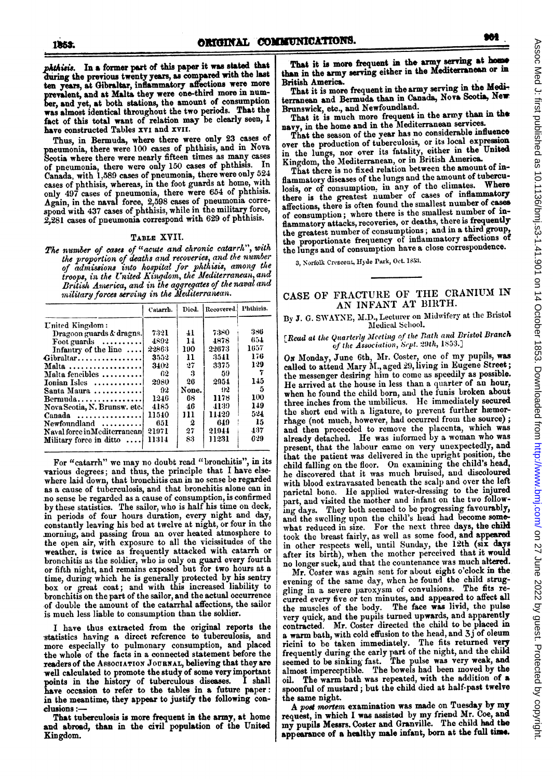phthisis. In a former part of this paper it was stated that during the previous twenty years, as compared with the last ten years, at Gibraltar, inflammatory affections were more prevalent, and at Malta they were one-third more in number, and yet, at both stations, the amount of consumption was almost identical throughout the two periods. That the fact of this total want of relation may be clearly seen, I have constructed Tables XVI and XVII.

Thus, in Bermuda, where there were only 23 cases of pneumonia, there were 100 cases of phthisis, and in Nova Scotia where there were nearly fifteen times as many cases of pneumonia, there were only 150 cases of phthisis. In Canada, with 1,589 cases of pneumonia, there were only 524 cases of phthisis, whereas, in the foot guards at home, with only 497 cases of pneumonia, there were 654 of phthisis. Again, in the naval force, 2,598 cases of pneumonia correspond with 437 cases of phthisis, while in the military force, 2,281 cases of pneumonia correspond with 629 of phthisis.

#### TABLE XVII.

The number of cases of "acute and chronic catarrh", with the proportion of deaths and recoveries, and the number of admissions into hospital for phthisis, among the troops, in the United Kingdom, the Mediterranean, and British America, and in the aggregates of the naval and<br>military forces serving in the Mediterranean.

|                                  | Catarrh. | Died.            | Recovered Phthisis. |      |
|----------------------------------|----------|------------------|---------------------|------|
| United Kingdom:                  |          |                  |                     |      |
| Dragoon guards & dragns.         | 7321     | $\overline{11}$  | 7380                | 386  |
| Foot guards $\dots\dots\dots$    | 4892     | 14               | 4878                | 654  |
| Infantry of the line             | 22863    | 190              | 22673               | 1657 |
| Gibraltar                        | 3552     | 11               | 3541                | 176  |
| Malta                            | 3402     | 27               | 3375                | 129  |
| Malta fencibles                  | 62       | 3                | -59                 |      |
| Ionian Isles                     | 2980     | 26               | 2954                | 145  |
| Santa Maura                      | 92       | None.            | $^{112}$            | 5    |
| $Bernula$                        | 1246     | 68               | 1178                | 100  |
| Nova Scotia, N. Brunsw. etc.     | 4185     | 46               | 4139                | 149  |
| $C$ anada                        | 11540    | 111              | 11429               | 524  |
| Newfoundland                     | 651      | $\boldsymbol{2}$ | 649                 | -15  |
| Naval force in Mediterranean     | 21971    | 27               | 21944               | 437  |
| Military force in ditto $\ldots$ | 11314    | 83               | 11231               | 629  |

For "catarrh" we may no doubt read "bronchitis", in its various degrees; and thus, the principle that I have elsewhere laid down, that bronchitis can in no sense be regarded as a cause of tuberculosis, and that bronchitis alone can in no sense be regarded as a cause of consumption, is confirmed by these statistics. The sailor, who is half his time on deck, in periods of four hours duration, every night and day, constantly leaving his bed at twelve at night, or four in the morning, and passing from an over heated atmosphere to the open air, with exposure to all the vicissitudes of the weather, is twice as frequently attacked with catarrh or bronchitis as the soldier, who is only on guard every fourth or fifth night, and remains exposed but for two hours at a time, during which he is generally protected by his sentry box or great coat; and with this increased liability to bronchitis on the part of the sailor, and the actual occurrence of double the amount of the catarrhal affections, the sailor is much less liable to consumption than the soldier.

I have thus extracted from the original reports the statistics having a direct reference to tuberculosis, and more especially to pulmonary consumption, and placed the whole of the facts in a connected statement before the readers of the ASSOCIATION JOURNAL, believing that they are well calculated to promote the study of some very important points in the history of tuberculous diseases. I shall have occasion to refer to the tables in a future paper: in the meantime, they appear to justify the following conclusions:

That tuberculosis is more frequent in the army, at home and abroad, than in the civil population of the United Kingdom.

That it is more frequent in the army serving at home han in the army serving either in the Mediterranean or in British America.

That it is more frequent in the army serving in the Mediterranean and Bermuda than in Canada, Nova Scotia, New Brunswick, etc., and Newfoundland.

That it is much more frequent in the army than in the navy, in the home and in the Mediterranean services.

That the season of the year has no considerable influence over the production of tuberculosis, or its local expression in the lungs, nor over its fatality, either in the United Kingdom, the Mediterranean, or in British America.

That there is no fixed relation between the amount of inflammatory diseases of the lungs and the amount of tuberculosis, or of consumption, in any of the climates. Where there is the greatest number of cases of inflammatory affections, there is often found the smallest number of cases of consumption; where there is the smallest number of inflammatory attacks, recoveries, or deaths, there is frequently the greatest number of consumptions; and in a third group, the proportionate frequency of inflammatory affections of the lungs and of consumption have a close correspondence.

3, Norfolk Crescent, Hyde Park, Oct. 1853.

## CASE OF FRACTURE OF THE CRANIUM IN AN INFANT AT BIRTH.

### By J. G. SWAYNE, M.D., Lecturer on Midwifery at the Bristol Medical School.

#### [Read at the Quarterly Meeting of the Bath and Bristol Branch of the Association, Sept. 20th, 1853.]

On Monday, June 6th, Mr. Coster, one of my pupils, was called to attend Mary M., aged 29, living in Eugene Street; the messenger desiring him to come as speedily as possible. He arrived at the house in less than a quarter of an hour, when he found the child born, and the funis broken about three inches from the umbilicus. He immediately secured the short end with a ligature, to prevent further hæmorrhage (not much, however, had occurred from the source); and then proceeded to remove the placenta, which was already detached. He was informed by a woman who was present, that the labour came on very unexpectedly, and that the patient was delivered in the upright position, the child falling on the floor. On examining the child's head, he discovered that it was much bruised, and discoloured with blood extravasated beneath the scalp and over the left parietal bone. He applied water-dressing to the injured part, and visited the mother and infant on the two following days. They both seemed to be progressing favourably, and the swelling upon the child's head had become somewhat reduced in size. For the next three days, the child took the breast fairly, as well as some food, and appeared in other respects well, until Sunday, the 12th (six days after its birth), when the mother perceived that it would no longer suck, and that the countenance was much altered.

Mr. Coster was again sent for about eight o'clock in the evening of the same day, when he found the child struggling in a severe paroxysm of convulsions. The fits recurred every five or ten minutes, and appeared to affect all the muscles of the body. The face was livid, the pulse very quick, and the pupils turned upwards, and apparently contracted. Mr. Coster directed the child to be placed in a warm bath, with cold effusion to the head, and 3j of oleum ricini to be taken immediately. The fits returned very Friend to be taken immediately. The next returned very<br>frequently during the early part of the night, and the child<br>seemed to be sinking fast. The pulse was very weak, and<br>almost imperceptible. The bowels had been moved by oil. The warm bath was repeated, with the addition of a spoonful of mustard; but the child died at half-past twelve the same night.

A post mortem examination was made on Tuesday by my request, in which I was assisted by my friend Mr. Coe, and my pupils Messrs. Coster and Granville. The child had the appearance of a healthy male infant, born at the full time.